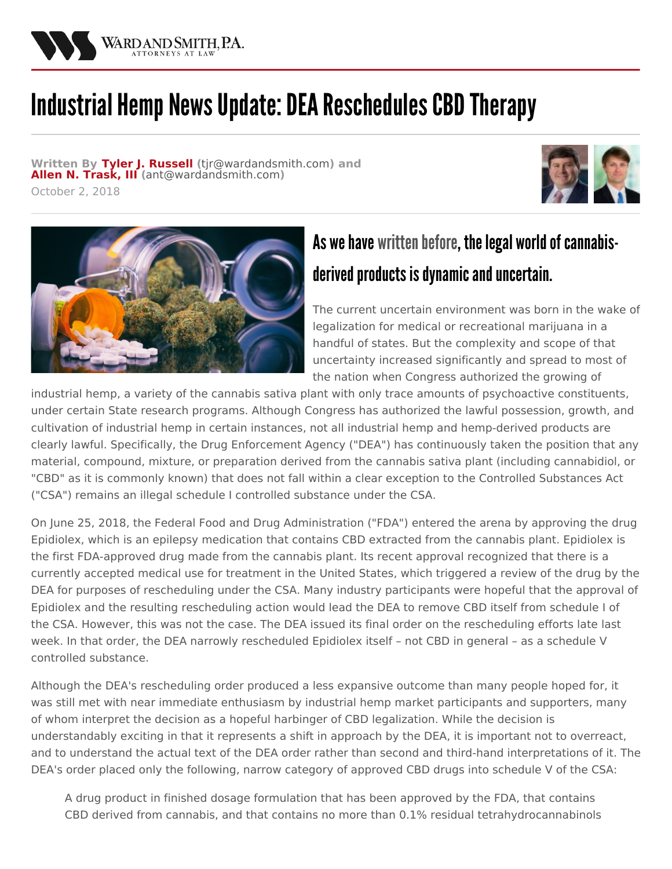

## Industrial Hemp News Update: DEA Reschedules CBD Therapy

**Written By Tyler J. [Russell](/attorneys/tyler-russell) (**[tjr@wardandsmith.com](mailto:tjr@wardandsmith.com)**) and Allen N. [Trask,](/attorneys/allen-trask) III (**[ant@wardandsmith.com](mailto:ant@wardandsmith.com)**)** October 2, 2018





## As we have written before, the legal world of cannabisderived products is dynamic and uncertain.

The current uncertain environment was born in the wake of legalization for medical or recreational marijuana in a handful of states. But the complexity and scope of that uncertainty increased significantly and spread to most of the nation when Congress authorized the growing of

industrial hemp, a variety of the cannabis sativa plant with only trace amounts of psychoactive constituents, under certain State research programs. Although Congress has authorized the lawful possession, growth, and cultivation of industrial hemp in certain instances, not all industrial hemp and hemp-derived products are clearly lawful. Specifically, the Drug Enforcement Agency ("DEA") has continuously taken the position that any material, compound, mixture, or preparation derived from the cannabis sativa plant (including cannabidiol, or "CBD" as it is commonly known) that does not fall within a clear exception to the Controlled Substances Act ("CSA") remains an illegal schedule I controlled substance under the CSA.

On June 25, 2018, the Federal Food and Drug Administration ("FDA") entered the arena by approving the drug Epidiolex, which is an epilepsy medication that contains CBD extracted from the cannabis plant. Epidiolex is the first FDA-approved drug made from the cannabis plant. Its recent approval recognized that there is a currently accepted medical use for treatment in the United States, which triggered a review of the drug by the DEA for purposes of rescheduling under the CSA. Many industry participants were hopeful that the approval of Epidiolex and the resulting rescheduling action would lead the DEA to remove CBD itself from schedule I of the CSA. However, this was not the case. The DEA issued its final order on the rescheduling efforts late last week. In that order, the DEA narrowly rescheduled Epidiolex itself – not CBD in general – as a schedule V controlled substance.

Although the DEA's rescheduling order produced a less expansive outcome than many people hoped for, it was still met with near immediate enthusiasm by industrial hemp market participants and supporters, many of whom interpret the decision as a hopeful harbinger of CBD legalization. While the decision is understandably exciting in that it represents a shift in approach by the DEA, it is important not to overreact, and to understand the actual text of the DEA order rather than second and third-hand interpretations of it. The DEA's order placed only the following, narrow category of approved CBD drugs into schedule V of the CSA:

A drug product in finished dosage formulation that has been approved by the FDA, that contains CBD derived from cannabis, and that contains no more than 0.1% residual tetrahydrocannabinols